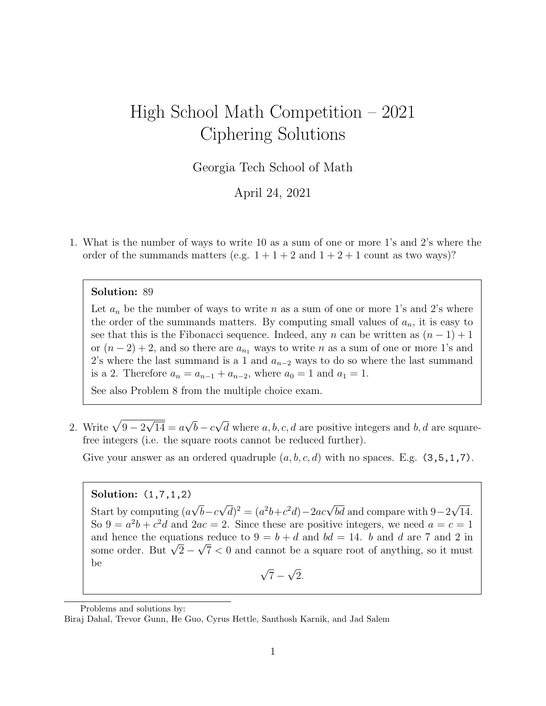# High School Math Competition – 2021 Ciphering Solutions

Georgia Tech School of Math

April 24, 2021

1. What is the number of ways to write 10 as a sum of one or more 1's and 2's where the order of the summands matters (e.g.  $1+1+2$  and  $1+2+1$  count as two ways)?

#### Solution: 89

Let  $a_n$  be the number of ways to write n as a sum of one or more 1's and 2's where the order of the summands matters. By computing small values of  $a_n$ , it is easy to see that this is the Fibonacci sequence. Indeed, any n can be written as  $(n-1)+1$ or  $(n-2)+2$ , and so there are  $a_{n_1}$  ways to write n as a sum of one or more 1's and 2's where the last summand is a 1 and  $a_{n-2}$  ways to do so where the last summand is a 2. Therefore  $a_n = a_{n-1} + a_{n-2}$ , where  $a_0 = 1$  and  $a_1 = 1$ .

See also Problem 8 from the multiple choice exam.

2. Write  $\sqrt{9-2}$ √  $14 = a$ √  $b - c$ √ d where  $a, b, c, d$  are positive integers and  $b, d$  are squarefree integers (i.e. the square roots cannot be reduced further).

Give your answer as an ordered quadruple  $(a, b, c, d)$  with no spaces. E.g.  $(3, 5, 1, 7)$ .

#### Solution: (1,7,1,2)

Start by computing (a √  $b-c$ √  $\overline{d})^2 = (a^2b+c^2d)-2ac\sqrt{bd}$  and compare with 9–2 √ 14. So  $9 = a^2b + c^2d$  and  $2ac = 2$ . Since these are positive integers, we need  $a = c = 1$ and hence the equations reduce to  $9 = b + d$  and  $bd = 14$ . b and d are 7 and 2 in and nence the equations reduce to  $9 = 0 + a$  and  $oa = 14$ . *o* and *a* are *i* and *z* in some order. But  $\sqrt{2} - \sqrt{7} < 0$  and cannot be a square root of anything, so it must be √ √

 $7 -$ 2.

Problems and solutions by:

Biraj Dahal, Trevor Gunn, He Guo, Cyrus Hettle, Santhosh Karnik, and Jad Salem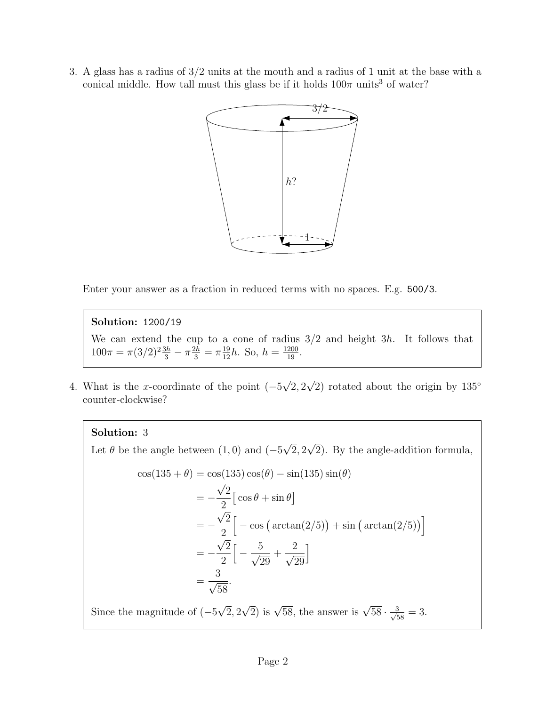3. A glass has a radius of 3/2 units at the mouth and a radius of 1 unit at the base with a conical middle. How tall must this glass be if it holds  $100\pi$  units<sup>3</sup> of water?



Enter your answer as a fraction in reduced terms with no spaces. E.g. 500/3.

Solution: 1200/19

We can extend the cup to a cone of radius  $3/2$  and height 3h. It follows that  $100\pi = \pi (3/2)^2 \frac{3h}{3} - \pi \frac{2h}{3} = \pi \frac{19}{12}h$ . So,  $h = \frac{1200}{19}$ .

4. What is the x-coordinate of the point  $(-5)$ √ 2, 2 √  $\overline{2}$ ) rotated about the origin by 135<sup>°</sup> counter-clockwise?

## Solution: 3

Let  $\theta$  be the angle between  $(1, 0)$  and  $(-5)$ √ 2, 2 √ 2). By the angle-addition formula,

$$
\cos(135 + \theta) = \cos(135)\cos(\theta) - \sin(135)\sin(\theta)
$$
  

$$
= -\frac{\sqrt{2}}{2} \left[ \cos \theta + \sin \theta \right]
$$
  

$$
= -\frac{\sqrt{2}}{2} \left[ -\cos\left(\arctan(2/5)\right) + \sin\left(\arctan(2/5)\right) \right]
$$
  

$$
= -\frac{\sqrt{2}}{2} \left[ -\frac{5}{\sqrt{29}} + \frac{2}{\sqrt{29}} \right]
$$
  

$$
= \frac{3}{\sqrt{58}}.
$$

i

Since the magnitude of  $(-5)$ √  $2, 2$  $\sqrt{2}$ ) is  $\sqrt{58}$ , the answer is  $\sqrt{58} \cdot \frac{3}{\sqrt{58}} = 3$ .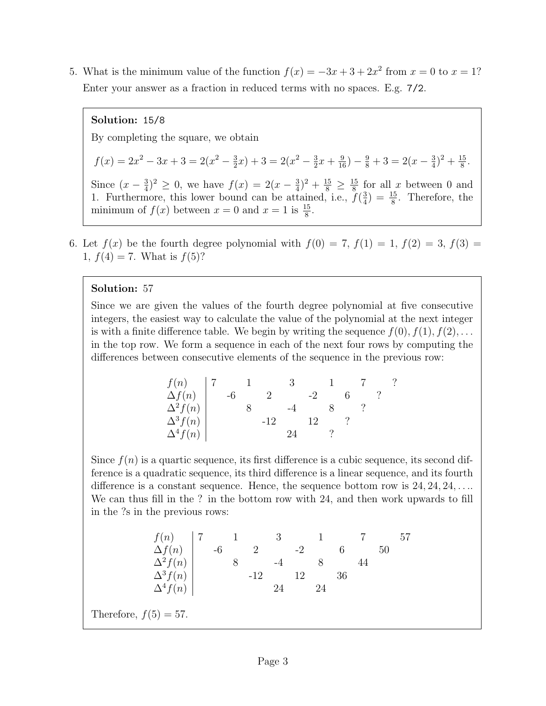5. What is the minimum value of the function  $f(x) = -3x + 3 + 2x^2$  from  $x = 0$  to  $x = 1$ ? Enter your answer as a fraction in reduced terms with no spaces. E.g. 7/2.

## Solution: 15/8

By completing the square, we obtain

$$
f(x) = 2x^2 - 3x + 3 = 2(x^2 - \frac{3}{2}x) + 3 = 2(x^2 - \frac{3}{2}x + \frac{9}{16}) - \frac{9}{8} + 3 = 2(x - \frac{3}{4})^2 + \frac{15}{8}.
$$

Since  $(x-\frac{3}{4})$  $(\frac{3}{4})^2 \geq 0$ , we have  $f(x) = 2(x - \frac{3}{4})$  $(\frac{3}{4})^2 + \frac{15}{8} \geq \frac{15}{8}$  $\frac{15}{8}$  for all x between 0 and 1. Furthermore, this lower bound can be attained, i.e.,  $f(\frac{3}{4})$  $\frac{3}{4}$ ) =  $\frac{15}{8}$ . Therefore, the minimum of  $f(x)$  between  $x = 0$  and  $x = 1$  is  $\frac{15}{8}$ .

6. Let  $f(x)$  be the fourth degree polynomial with  $f(0) = 7$ ,  $f(1) = 1$ ,  $f(2) = 3$ ,  $f(3) =$ 1,  $f(4) = 7$ . What is  $f(5)$ ?

## Solution: 57

Since we are given the values of the fourth degree polynomial at five consecutive integers, the easiest way to calculate the value of the polynomial at the next integer is with a finite difference table. We begin by writing the sequence  $f(0), f(1), f(2), \ldots$ in the top row. We form a sequence in each of the next four rows by computing the differences between consecutive elements of the sequence in the previous row:

| f(n)                               |     |          |    |  |  |  |
|------------------------------------|-----|----------|----|--|--|--|
| $\Delta f(n)$                      | -lo | $\Omega$ |    |  |  |  |
|                                    |     |          |    |  |  |  |
| $\Delta^2 f(n)$<br>$\Delta^3 f(n)$ |     | -19      | 19 |  |  |  |
| $\Delta^4 f(n)$                    |     |          |    |  |  |  |

Since  $f(n)$  is a quartic sequence, its first difference is a cubic sequence, its second difference is a quadratic sequence, its third difference is a linear sequence, and its fourth difference is a constant sequence. Hence, the sequence bottom row is  $24, 24, 24, \ldots$ We can thus fill in the ? in the bottom row with 24, and then work upwards to fill in the ?s in the previous rows:

$$
\begin{array}{c|ccccc}\nf(n) & 7 & 1 & 3 & 1 & 7 & 57 \\
\Delta f(n) & -6 & 2 & -2 & 6 & 50 \\
\Delta^2 f(n) & 8 & -4 & 8 & 44 \\
\Delta^3 f(n) & & -12 & 12 & 36 \\
\Delta^4 f(n) & & & 24 & 24\n\end{array}
$$

Therefore,  $f(5) = 57$ .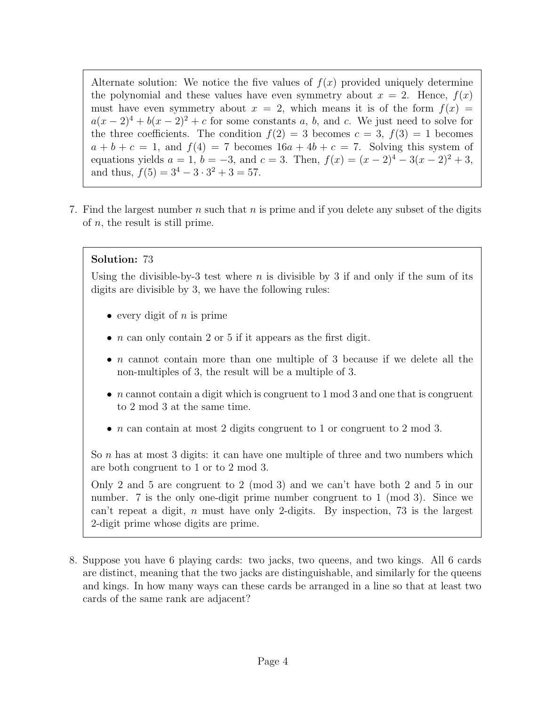Alternate solution: We notice the five values of  $f(x)$  provided uniquely determine the polynomial and these values have even symmetry about  $x = 2$ . Hence,  $f(x)$ must have even symmetry about  $x = 2$ , which means it is of the form  $f(x) =$  $a(x-2)^4 + b(x-2)^2 + c$  for some constants a, b, and c. We just need to solve for the three coefficients. The condition  $f(2) = 3$  becomes  $c = 3$ ,  $f(3) = 1$  becomes  $a + b + c = 1$ , and  $f(4) = 7$  becomes  $16a + 4b + c = 7$ . Solving this system of equations yields  $a = 1$ ,  $b = -3$ , and  $c = 3$ . Then,  $f(x) = (x - 2)^4 - 3(x - 2)^2 + 3$ , and thus,  $f(5) = 3^4 - 3 \cdot 3^2 + 3 = 57$ .

7. Find the largest number n such that n is prime and if you delete any subset of the digits of  $n$ , the result is still prime.

# Solution: 73

Using the divisible-by-3 test where n is divisible by 3 if and only if the sum of its digits are divisible by 3, we have the following rules:

- every digit of  $n$  is prime
- $n$  can only contain 2 or 5 if it appears as the first digit.
- n cannot contain more than one multiple of 3 because if we delete all the non-multiples of 3, the result will be a multiple of 3.
- $n$  cannot contain a digit which is congruent to 1 mod 3 and one that is congruent to 2 mod 3 at the same time.
- n can contain at most 2 digits congruent to 1 or congruent to 2 mod 3.

So n has at most 3 digits: it can have one multiple of three and two numbers which are both congruent to 1 or to 2 mod 3.

Only 2 and 5 are congruent to 2 (mod 3) and we can't have both 2 and 5 in our number. 7 is the only one-digit prime number congruent to 1 (mod 3). Since we can't repeat a digit, n must have only 2-digits. By inspection, 73 is the largest 2-digit prime whose digits are prime.

8. Suppose you have 6 playing cards: two jacks, two queens, and two kings. All 6 cards are distinct, meaning that the two jacks are distinguishable, and similarly for the queens and kings. In how many ways can these cards be arranged in a line so that at least two cards of the same rank are adjacent?